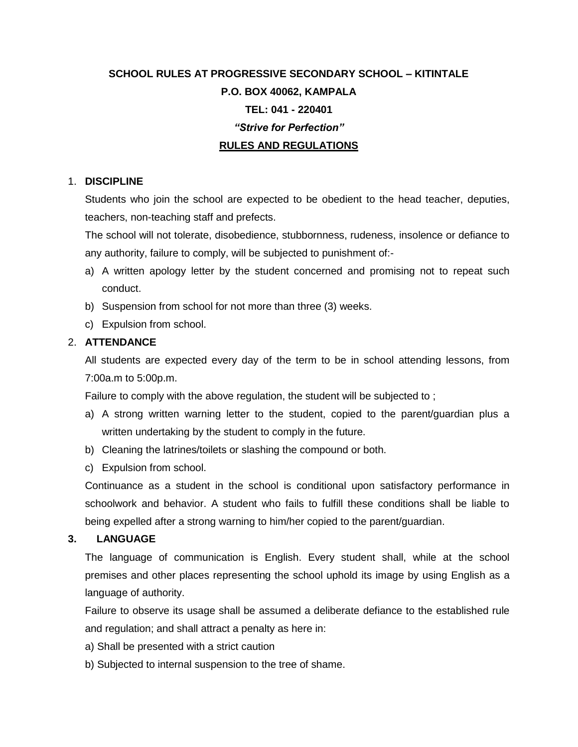# **SCHOOL RULES AT PROGRESSIVE SECONDARY SCHOOL – KITINTALE P.O. BOX 40062, KAMPALA TEL: 041 - 220401** *"Strive for Perfection"* **RULES AND REGULATIONS**

## 1. **DISCIPLINE**

Students who join the school are expected to be obedient to the head teacher, deputies, teachers, non-teaching staff and prefects.

The school will not tolerate, disobedience, stubbornness, rudeness, insolence or defiance to any authority, failure to comply, will be subjected to punishment of:-

- a) A written apology letter by the student concerned and promising not to repeat such conduct.
- b) Suspension from school for not more than three (3) weeks.
- c) Expulsion from school.

# 2. **ATTENDANCE**

All students are expected every day of the term to be in school attending lessons, from 7:00a.m to 5:00p.m.

Failure to comply with the above regulation, the student will be subjected to ;

- a) A strong written warning letter to the student, copied to the parent/guardian plus a written undertaking by the student to comply in the future.
- b) Cleaning the latrines/toilets or slashing the compound or both.
- c) Expulsion from school.

Continuance as a student in the school is conditional upon satisfactory performance in schoolwork and behavior. A student who fails to fulfill these conditions shall be liable to being expelled after a strong warning to him/her copied to the parent/guardian.

## **3. LANGUAGE**

The language of communication is English. Every student shall, while at the school premises and other places representing the school uphold its image by using English as a language of authority.

Failure to observe its usage shall be assumed a deliberate defiance to the established rule and regulation; and shall attract a penalty as here in:

- a) Shall be presented with a strict caution
- b) Subjected to internal suspension to the tree of shame.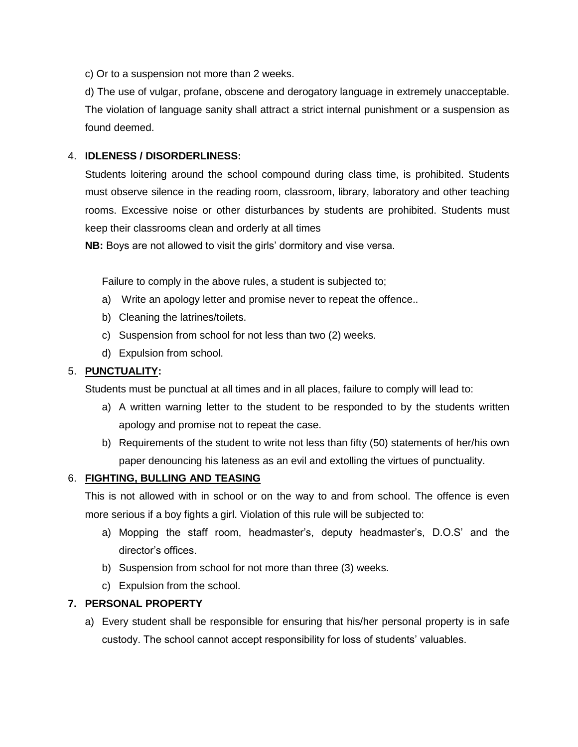c) Or to a suspension not more than 2 weeks.

d) The use of vulgar, profane, obscene and derogatory language in extremely unacceptable. The violation of language sanity shall attract a strict internal punishment or a suspension as found deemed.

# 4. **IDLENESS / DISORDERLINESS:**

Students loitering around the school compound during class time, is prohibited. Students must observe silence in the reading room, classroom, library, laboratory and other teaching rooms. Excessive noise or other disturbances by students are prohibited. Students must keep their classrooms clean and orderly at all times

**NB:** Boys are not allowed to visit the girls' dormitory and vise versa.

Failure to comply in the above rules, a student is subjected to;

- a) Write an apology letter and promise never to repeat the offence..
- b) Cleaning the latrines/toilets.
- c) Suspension from school for not less than two (2) weeks.
- d) Expulsion from school.

## 5. **PUNCTUALITY:**

Students must be punctual at all times and in all places, failure to comply will lead to:

- a) A written warning letter to the student to be responded to by the students written apology and promise not to repeat the case.
- b) Requirements of the student to write not less than fifty (50) statements of her/his own paper denouncing his lateness as an evil and extolling the virtues of punctuality.

## 6. **FIGHTING, BULLING AND TEASING**

This is not allowed with in school or on the way to and from school. The offence is even more serious if a boy fights a girl. Violation of this rule will be subjected to:

- a) Mopping the staff room, headmaster's, deputy headmaster's, D.O.S' and the director's offices.
- b) Suspension from school for not more than three (3) weeks.
- c) Expulsion from the school.

## **7. PERSONAL PROPERTY**

a) Every student shall be responsible for ensuring that his/her personal property is in safe custody. The school cannot accept responsibility for loss of students' valuables.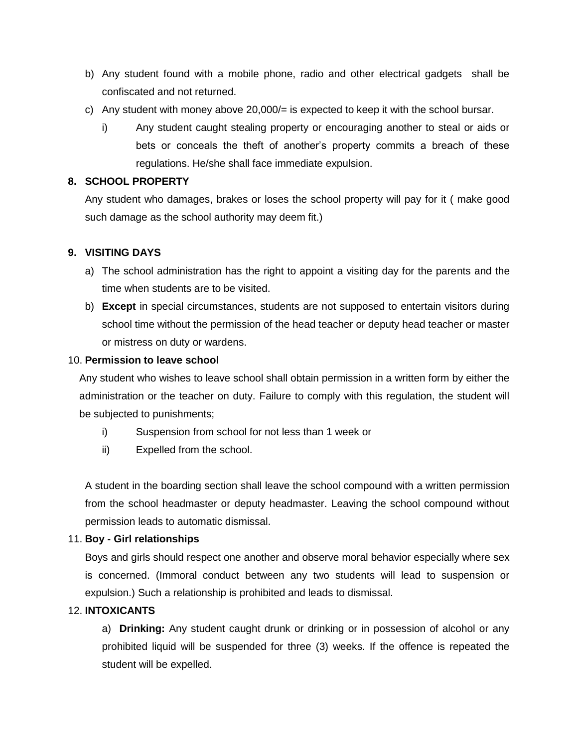- b) Any student found with a mobile phone, radio and other electrical gadgets shall be confiscated and not returned.
- c) Any student with money above 20,000/= is expected to keep it with the school bursar.
	- i) Any student caught stealing property or encouraging another to steal or aids or bets or conceals the theft of another's property commits a breach of these regulations. He/she shall face immediate expulsion.

# **8. SCHOOL PROPERTY**

Any student who damages, brakes or loses the school property will pay for it ( make good such damage as the school authority may deem fit.)

# **9. VISITING DAYS**

- a) The school administration has the right to appoint a visiting day for the parents and the time when students are to be visited.
- b) **Except** in special circumstances, students are not supposed to entertain visitors during school time without the permission of the head teacher or deputy head teacher or master or mistress on duty or wardens.

# 10. **Permission to leave school**

Any student who wishes to leave school shall obtain permission in a written form by either the administration or the teacher on duty. Failure to comply with this regulation, the student will be subjected to punishments;

- i) Suspension from school for not less than 1 week or
- ii) Expelled from the school.

A student in the boarding section shall leave the school compound with a written permission from the school headmaster or deputy headmaster. Leaving the school compound without permission leads to automatic dismissal.

# 11. **Boy - Girl relationships**

Boys and girls should respect one another and observe moral behavior especially where sex is concerned. (Immoral conduct between any two students will lead to suspension or expulsion.) Such a relationship is prohibited and leads to dismissal.

## 12. **INTOXICANTS**

a) **Drinking:** Any student caught drunk or drinking or in possession of alcohol or any prohibited liquid will be suspended for three (3) weeks. If the offence is repeated the student will be expelled.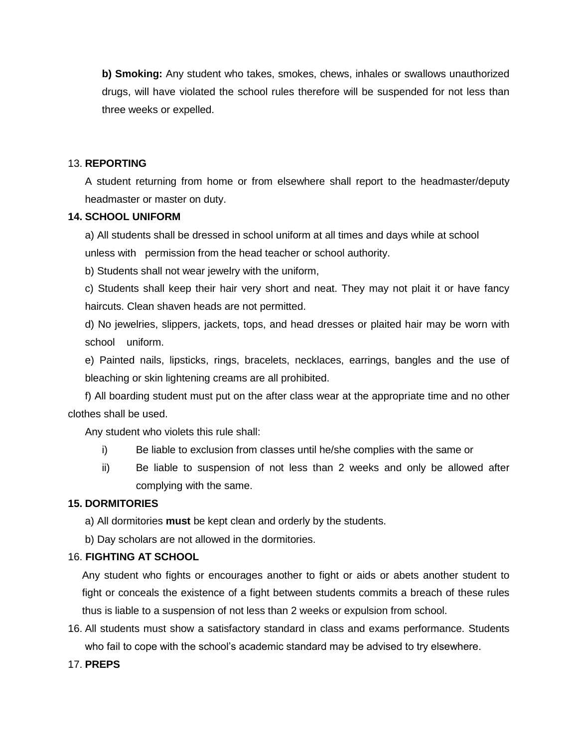**b) Smoking:** Any student who takes, smokes, chews, inhales or swallows unauthorized drugs, will have violated the school rules therefore will be suspended for not less than three weeks or expelled.

#### 13. **REPORTING**

A student returning from home or from elsewhere shall report to the headmaster/deputy headmaster or master on duty.

## **14. SCHOOL UNIFORM**

a) All students shall be dressed in school uniform at all times and days while at school

unless with permission from the head teacher or school authority.

b) Students shall not wear jewelry with the uniform,

c) Students shall keep their hair very short and neat. They may not plait it or have fancy haircuts. Clean shaven heads are not permitted.

d) No jewelries, slippers, jackets, tops, and head dresses or plaited hair may be worn with school uniform.

e) Painted nails, lipsticks, rings, bracelets, necklaces, earrings, bangles and the use of bleaching or skin lightening creams are all prohibited.

f) All boarding student must put on the after class wear at the appropriate time and no other clothes shall be used.

Any student who violets this rule shall:

- i) Be liable to exclusion from classes until he/she complies with the same or
- ii) Be liable to suspension of not less than 2 weeks and only be allowed after complying with the same.

## **15. DORMITORIES**

- a) All dormitories **must** be kept clean and orderly by the students.
- b) Day scholars are not allowed in the dormitories.

#### 16. **FIGHTING AT SCHOOL**

Any student who fights or encourages another to fight or aids or abets another student to fight or conceals the existence of a fight between students commits a breach of these rules thus is liable to a suspension of not less than 2 weeks or expulsion from school.

16. All students must show a satisfactory standard in class and exams performance. Students who fail to cope with the school's academic standard may be advised to try elsewhere.

## 17. **PREPS**